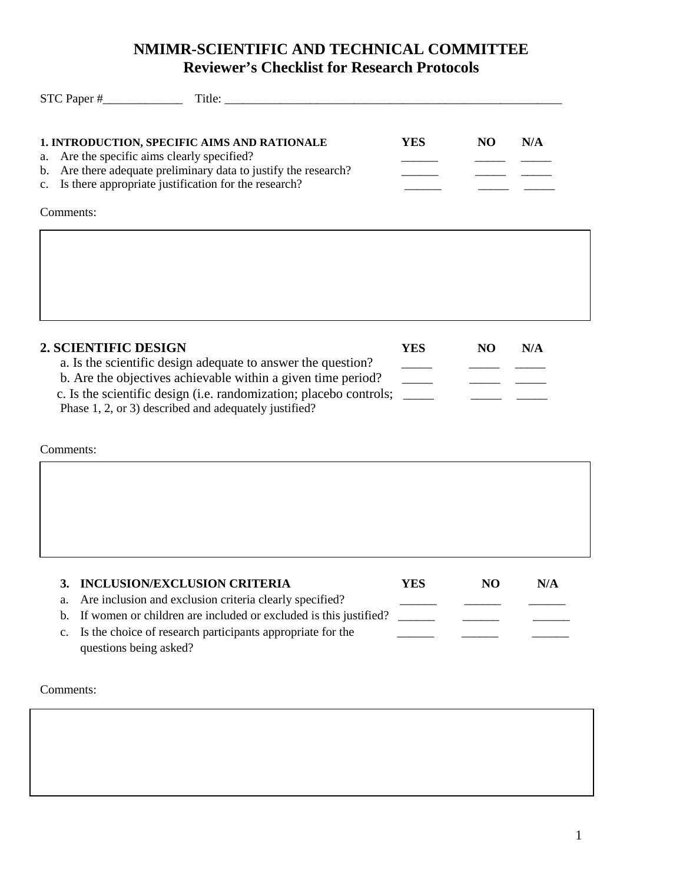## **NMIMR-SCIENTIFIC AND TECHNICAL COMMITTEE Reviewer's Checklist for Research Protocols**

| 1. INTRODUCTION, SPECIFIC AIMS AND RATIONALE<br>Are the specific aims clearly specified?<br>a.<br>Are there adequate preliminary data to justify the research?<br>$\mathbf{b}$ .<br>Is there appropriate justification for the research?<br>$\mathbf{c}$ . | <b>YES</b>                                | NO             | N/A |
|------------------------------------------------------------------------------------------------------------------------------------------------------------------------------------------------------------------------------------------------------------|-------------------------------------------|----------------|-----|
| Comments:                                                                                                                                                                                                                                                  |                                           |                |     |
|                                                                                                                                                                                                                                                            |                                           |                |     |
| <b>2. SCIENTIFIC DESIGN</b><br>a. Is the scientific design adequate to answer the question?                                                                                                                                                                | <b>YES</b>                                | <b>NO</b>      | N/A |
| b. Are the objectives achievable within a given time period?<br>c. Is the scientific design (i.e. randomization; placebo controls;<br>Phase 1, 2, or 3) described and adequately justified?                                                                | $\overline{\phantom{a}}$<br>$\frac{1}{2}$ |                |     |
| Comments:                                                                                                                                                                                                                                                  |                                           |                |     |
|                                                                                                                                                                                                                                                            |                                           |                |     |
|                                                                                                                                                                                                                                                            |                                           |                |     |
| <b>INCLUSION/EXCLUSION CRITERIA</b><br>3.<br>Are inclusion and exclusion criteria clearly specified?<br>a.                                                                                                                                                 | <b>YES</b>                                | N <sub>O</sub> | N/A |
| If women or children are included or excluded is this justified?<br>$\mathbf b$ .<br>Is the choice of research participants appropriate for the<br>c.<br>questions being asked?                                                                            |                                           |                |     |
| Comments:                                                                                                                                                                                                                                                  |                                           |                |     |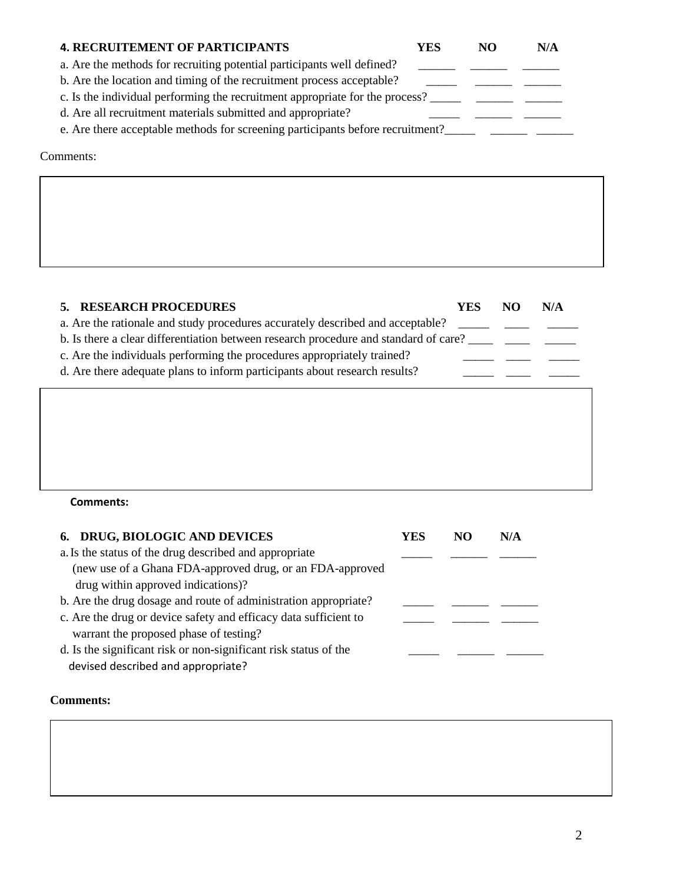| <b>4. RECRUITEMENT OF PARTICIPANTS</b>                                         | YES | NO | N/A |  |
|--------------------------------------------------------------------------------|-----|----|-----|--|
| a. Are the methods for recruiting potential participants well defined?         |     |    |     |  |
| b. Are the location and timing of the recruitment process acceptable?          |     |    |     |  |
| c. Is the individual performing the recruitment appropriate for the process?   |     |    |     |  |
| d. Are all recruitment materials submitted and appropriate?                    |     |    |     |  |
| e. Are there acceptable methods for screening participants before recruitment? |     |    |     |  |

Comments:

| 5. RESEARCH PROCEDURES                                                                                                                                                                                                                                                                                                          | YES | NO | N/A |
|---------------------------------------------------------------------------------------------------------------------------------------------------------------------------------------------------------------------------------------------------------------------------------------------------------------------------------|-----|----|-----|
| a. Are the rationale and study procedures accurately described and acceptable?<br>b. Is there a clear differentiation between research procedure and standard of care?<br>c. Are the individuals performing the procedures appropriately trained?<br>d. Are there adequate plans to inform participants about research results? |     |    |     |
|                                                                                                                                                                                                                                                                                                                                 |     |    |     |

## **Comments:**

| 6. DRUG, BIOLOGIC AND DEVICES                                    | YES | NO | N/A |
|------------------------------------------------------------------|-----|----|-----|
| a. Is the status of the drug described and appropriate           |     |    |     |
| (new use of a Ghana FDA-approved drug, or an FDA-approved        |     |    |     |
| drug within approved indications)?                               |     |    |     |
| b. Are the drug dosage and route of administration appropriate?  |     |    |     |
| c. Are the drug or device safety and efficacy data sufficient to |     |    |     |
| warrant the proposed phase of testing?                           |     |    |     |
| d. Is the significant risk or non-significant risk status of the |     |    |     |
| devised described and appropriate?                               |     |    |     |

## **Comments:**